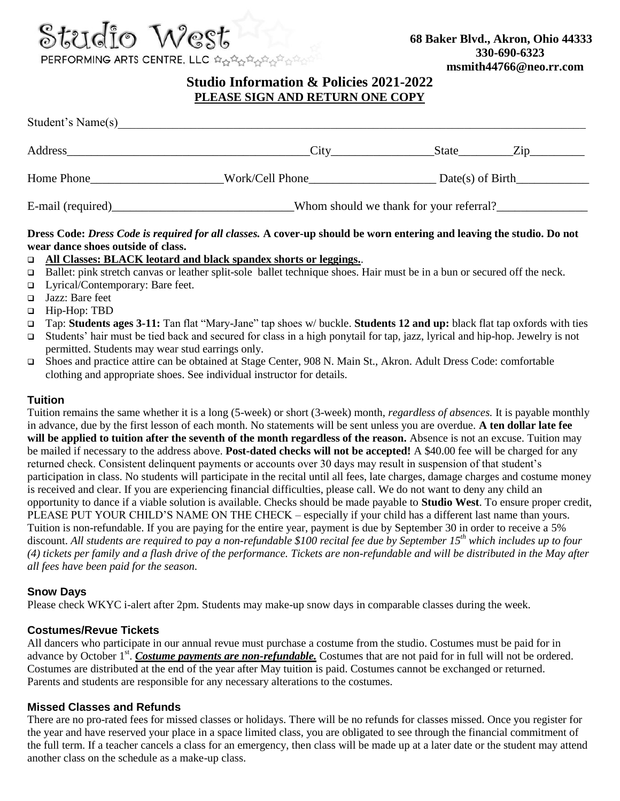

# **Studio Information & Policies 2021-2022 PLEASE SIGN AND RETURN ONE COPY**

| Student's Name(s)  |                                         |                           |
|--------------------|-----------------------------------------|---------------------------|
| Address            | City                                    | State<br>$\sum_{i=1}^{n}$ |
| Home Phone         | Work/Cell Phone                         | Date(s) of Birth          |
| E-mail (required)_ | Whom should we thank for your referral? |                           |

#### **Dress Code:** *Dress Code is required for all classes.* **A cover-up should be worn entering and leaving the studio. Do not wear dance shoes outside of class.**

#### **All Classes: BLACK leotard and black spandex shorts or leggings.**.

- □ Ballet: pink stretch canvas or leather split-sole ballet technique shoes. Hair must be in a bun or secured off the neck.
- Lyrical/Contemporary: Bare feet.
- □ Jazz: Bare feet
- Hip-Hop: TBD
- Tap: **Students ages 3-11:** Tan flat "Mary-Jane" tap shoes w/ buckle. **Students 12 and up:** black flat tap oxfords with ties
- Students' hair must be tied back and secured for class in a high ponytail for tap, jazz, lyrical and hip-hop. Jewelry is not permitted. Students may wear stud earrings only.
- Shoes and practice attire can be obtained at Stage Center, 908 N. Main St., Akron. Adult Dress Code: comfortable clothing and appropriate shoes. See individual instructor for details.

## **Tuition**

Tuition remains the same whether it is a long (5-week) or short (3-week) month, *regardless of absences.* It is payable monthly in advance, due by the first lesson of each month. No statements will be sent unless you are overdue. **A ten dollar late fee will be applied to tuition after the seventh of the month regardless of the reason.** Absence is not an excuse. Tuition may be mailed if necessary to the address above. **Post-dated checks will not be accepted!** A \$40.00 fee will be charged for any returned check. Consistent delinquent payments or accounts over 30 days may result in suspension of that student's participation in class. No students will participate in the recital until all fees, late charges, damage charges and costume money is received and clear. If you are experiencing financial difficulties, please call. We do not want to deny any child an opportunity to dance if a viable solution is available. Checks should be made payable to **Studio West**. To ensure proper credit, PLEASE PUT YOUR CHILD'S NAME ON THE CHECK – especially if your child has a different last name than yours. Tuition is non-refundable. If you are paying for the entire year, payment is due by September 30 in order to receive a 5% discount. *All students are required to pay a non-refundable \$100 recital fee due by September 15th which includes up to four (4) tickets per family and a flash drive of the performance. Tickets are non-refundable and will be distributed in the May after all fees have been paid for the season.*

## **Snow Days**

Please check WKYC i-alert after 2pm. Students may make-up snow days in comparable classes during the week.

## **Costumes/Revue Tickets**

All dancers who participate in our annual revue must purchase a costume from the studio. Costumes must be paid for in advance by October 1<sup>st</sup>. Costume payments are non-refundable. Costumes that are not paid for in full will not be ordered. Costumes are distributed at the end of the year after May tuition is paid. Costumes cannot be exchanged or returned. Parents and students are responsible for any necessary alterations to the costumes.

## **Missed Classes and Refunds**

There are no pro-rated fees for missed classes or holidays. There will be no refunds for classes missed. Once you register for the year and have reserved your place in a space limited class, you are obligated to see through the financial commitment of the full term. If a teacher cancels a class for an emergency, then class will be made up at a later date or the student may attend another class on the schedule as a make-up class.